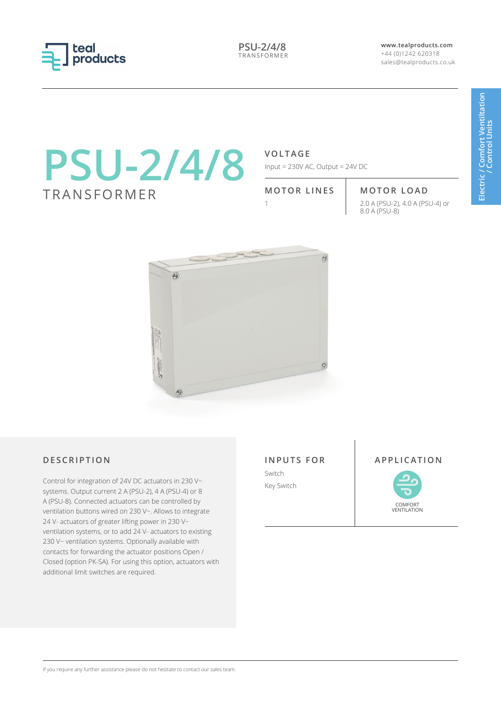

**PSU-2/4/8** TRANSFORMER **www.tealproducts.com** +44 (0)1242 620318 sales@tealproducts.co.uk

# **PSU-2/4/8** TRANSFORMER

### **VOLTAGE**

Input = 230V AC, Output = 24V DC

## **MOTOR LINES MOTOR LOAD**

1 2.0 A (PSU-2), 4.0 A (PSU-4) or 8.0 A (PSU-8)



Control for integration of 24V DC actuators in 230 V~ systems. Output current 2 A (PSU-2), 4 A (PSU-4) or 8 A (PSU-8). Connected actuators can be controlled by ventilation buttons wired on 230 V~. Allows to integrate 24 V- actuators of greater lifting power in 230 V~ ventilation systems, or to add 24 V- actuators to existing 230 V~ ventilation systems. Optionally available with contacts for forwarding the actuator positions Open / Closed (option PK-SA). For using this option, actuators with additional limit switches are required.

**INPUTS FOR** Switch

Key Switch

#### **DESCRIPTION APPLICATION**



#### If you require any further assistance please do not hesitate to contact our sales team.